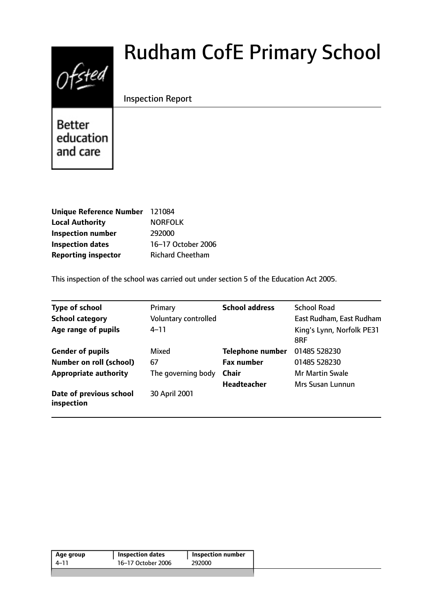# $0$ fsted

# Rudham CofE Primary School

# Inspection Report

**Better** education and care

| <b>Unique Reference Number</b> | 121084                  |
|--------------------------------|-------------------------|
| <b>Local Authority</b>         | <b>NORFOLK</b>          |
| <b>Inspection number</b>       | 292000                  |
| <b>Inspection dates</b>        | 16-17 October 2006      |
| <b>Reporting inspector</b>     | <b>Richard Cheetham</b> |

This inspection of the school was carried out under section 5 of the Education Act 2005.

| <b>Type of school</b>                 | Primary              | <b>School address</b>   | <b>School Road</b>               |
|---------------------------------------|----------------------|-------------------------|----------------------------------|
| <b>School category</b>                | Voluntary controlled |                         | East Rudham, East Rudham         |
| Age range of pupils                   | $4 - 11$             |                         | King's Lynn, Norfolk PE31<br>8RF |
| <b>Gender of pupils</b>               | Mixed                | <b>Telephone number</b> | 01485 528230                     |
| <b>Number on roll (school)</b>        | 67                   | <b>Fax number</b>       | 01485 528230                     |
| <b>Appropriate authority</b>          | The governing body   | <b>Chair</b>            | <b>Mr Martin Swale</b>           |
|                                       |                      | <b>Headteacher</b>      | Mrs Susan Lunnun                 |
| Date of previous school<br>inspection | 30 April 2001        |                         |                                  |

| 16-17 October 2006<br>4–11<br>292000 | Age group | <b>Inspection dates</b> | <b>Inspection number</b> |
|--------------------------------------|-----------|-------------------------|--------------------------|
|                                      |           |                         |                          |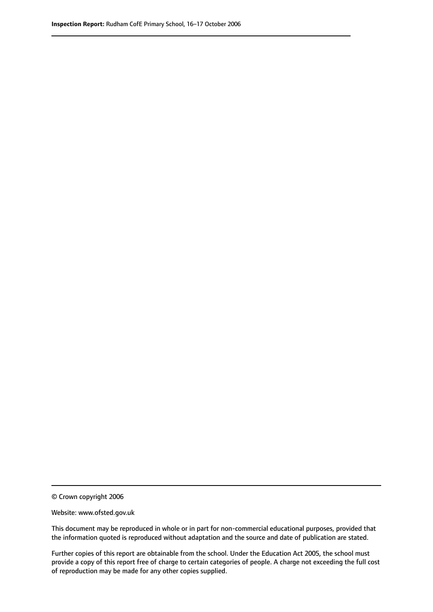© Crown copyright 2006

Website: www.ofsted.gov.uk

This document may be reproduced in whole or in part for non-commercial educational purposes, provided that the information quoted is reproduced without adaptation and the source and date of publication are stated.

Further copies of this report are obtainable from the school. Under the Education Act 2005, the school must provide a copy of this report free of charge to certain categories of people. A charge not exceeding the full cost of reproduction may be made for any other copies supplied.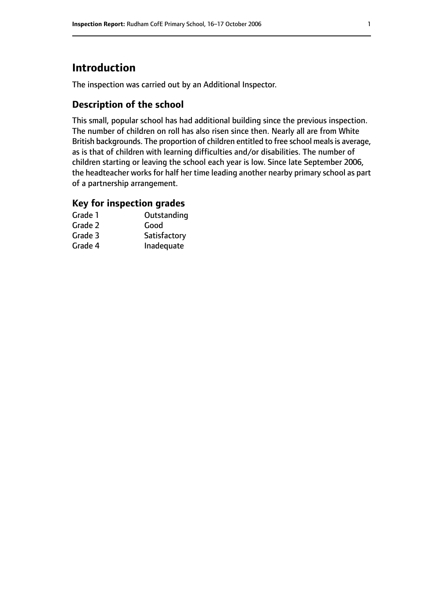# **Introduction**

The inspection was carried out by an Additional Inspector.

### **Description of the school**

This small, popular school has had additional building since the previous inspection. The number of children on roll has also risen since then. Nearly all are from White British backgrounds. The proportion of children entitled to free school meals is average, as is that of children with learning difficulties and/or disabilities. The number of children starting or leaving the school each year is low. Since late September 2006, the headteacher works for half her time leading another nearby primary school as part of a partnership arrangement.

#### **Key for inspection grades**

| Grade 1 | Outstanding  |
|---------|--------------|
| Grade 2 | Good         |
| Grade 3 | Satisfactory |
| Grade 4 | Inadequate   |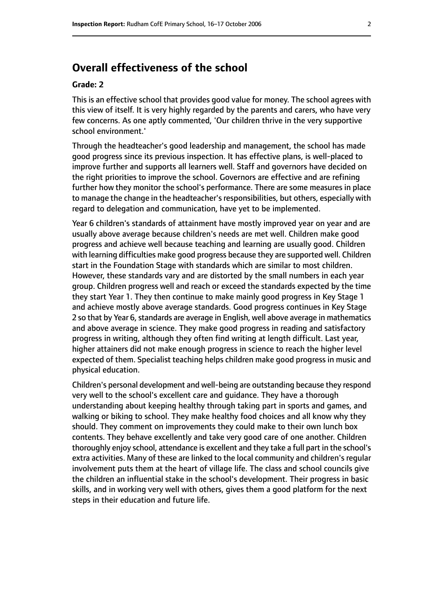# **Overall effectiveness of the school**

#### **Grade: 2**

This is an effective school that provides good value for money. The school agrees with this view of itself. It is very highly regarded by the parents and carers, who have very few concerns. As one aptly commented, 'Our children thrive in the very supportive school environment.'

Through the headteacher's good leadership and management, the school has made good progress since its previous inspection. It has effective plans, is well-placed to improve further and supports all learners well. Staff and governors have decided on the right priorities to improve the school. Governors are effective and are refining further how they monitor the school's performance. There are some measures in place to manage the change in the headteacher's responsibilities, but others, especially with regard to delegation and communication, have yet to be implemented.

Year 6 children's standards of attainment have mostly improved year on year and are usually above average because children's needs are met well. Children make good progress and achieve well because teaching and learning are usually good. Children with learning difficulties make good progress because they are supported well. Children start in the Foundation Stage with standards which are similar to most children. However, these standards vary and are distorted by the small numbers in each year group. Children progress well and reach or exceed the standards expected by the time they start Year 1. They then continue to make mainly good progress in Key Stage 1 and achieve mostly above average standards. Good progress continues in Key Stage 2 so that by Year 6, standards are average in English, well above average in mathematics and above average in science. They make good progress in reading and satisfactory progress in writing, although they often find writing at length difficult. Last year, higher attainers did not make enough progress in science to reach the higher level expected of them. Specialist teaching helps children make good progress in music and physical education.

Children's personal development and well-being are outstanding because they respond very well to the school's excellent care and guidance. They have a thorough understanding about keeping healthy through taking part in sports and games, and walking or biking to school. They make healthy food choices and all know why they should. They comment on improvements they could make to their own lunch box contents. They behave excellently and take very good care of one another. Children thoroughly enjoy school, attendance is excellent and they take a full part in the school's extra activities. Many of these are linked to the local community and children's regular involvement puts them at the heart of village life. The class and school councils give the children an influential stake in the school's development. Their progress in basic skills, and in working very well with others, gives them a good platform for the next steps in their education and future life.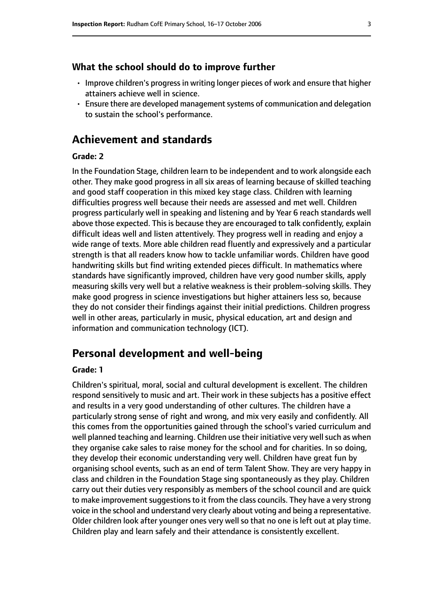#### **What the school should do to improve further**

- Improve children's progress in writing longer pieces of work and ensure that higher attainers achieve well in science.
- Ensure there are developed management systems of communication and delegation to sustain the school's performance.

# **Achievement and standards**

#### **Grade: 2**

In the Foundation Stage, children learn to be independent and to work alongside each other. They make good progress in all six areas of learning because of skilled teaching and good staff cooperation in this mixed key stage class. Children with learning difficulties progress well because their needs are assessed and met well. Children progress particularly well in speaking and listening and by Year 6 reach standards well above those expected. This is because they are encouraged to talk confidently, explain difficult ideas well and listen attentively. They progress well in reading and enjoy a wide range of texts. More able children read fluently and expressively and a particular strength is that all readers know how to tackle unfamiliar words. Children have good handwriting skills but find writing extended pieces difficult. In mathematics where standards have significantly improved, children have very good number skills, apply measuring skills very well but a relative weakness is their problem-solving skills. They make good progress in science investigations but higher attainers less so, because they do not consider their findings against their initial predictions. Children progress well in other areas, particularly in music, physical education, art and design and information and communication technology (ICT).

# **Personal development and well-being**

#### **Grade: 1**

Children's spiritual, moral, social and cultural development is excellent. The children respond sensitively to music and art. Their work in these subjects has a positive effect and results in a very good understanding of other cultures. The children have a particularly strong sense of right and wrong, and mix very easily and confidently. All this comes from the opportunities gained through the school's varied curriculum and well planned teaching and learning. Children use their initiative very well such as when they organise cake sales to raise money for the school and for charities. In so doing, they develop their economic understanding very well. Children have great fun by organising school events, such as an end of term Talent Show. They are very happy in class and children in the Foundation Stage sing spontaneously as they play. Children carry out their duties very responsibly as members of the school council and are quick to make improvement suggestions to it from the class councils. They have a very strong voice in the school and understand very clearly about voting and being a representative. Older children look after younger ones very well so that no one is left out at play time. Children play and learn safely and their attendance is consistently excellent.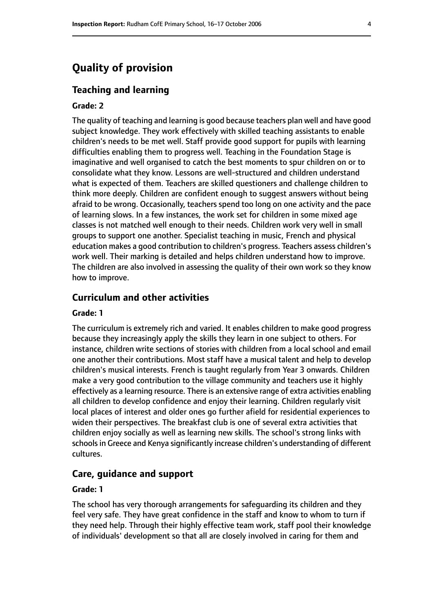# **Quality of provision**

#### **Teaching and learning**

#### **Grade: 2**

The quality of teaching and learning is good because teachers plan well and have good subject knowledge. They work effectively with skilled teaching assistants to enable children's needs to be met well. Staff provide good support for pupils with learning difficulties enabling them to progress well. Teaching in the Foundation Stage is imaginative and well organised to catch the best moments to spur children on or to consolidate what they know. Lessons are well-structured and children understand what is expected of them. Teachers are skilled questioners and challenge children to think more deeply. Children are confident enough to suggest answers without being afraid to be wrong. Occasionally, teachers spend too long on one activity and the pace of learning slows. In a few instances, the work set for children in some mixed age classes is not matched well enough to their needs. Children work very well in small groups to support one another. Specialist teaching in music, French and physical education makes a good contribution to children's progress. Teachers assess children's work well. Their marking is detailed and helps children understand how to improve. The children are also involved in assessing the quality of their own work so they know how to improve.

#### **Curriculum and other activities**

#### **Grade: 1**

The curriculum is extremely rich and varied. It enables children to make good progress because they increasingly apply the skills they learn in one subject to others. For instance, children write sections of stories with children from a local school and email one another their contributions. Most staff have a musical talent and help to develop children's musical interests. French is taught regularly from Year 3 onwards. Children make a very good contribution to the village community and teachers use it highly effectively as a learning resource. There is an extensive range of extra activities enabling all children to develop confidence and enjoy their learning. Children regularly visit local places of interest and older ones go further afield for residential experiences to widen their perspectives. The breakfast club is one of several extra activities that children enjoy socially as well as learning new skills. The school's strong links with schools in Greece and Kenya significantly increase children's understanding of different cultures.

#### **Care, guidance and support**

#### **Grade: 1**

The school has very thorough arrangements for safeguarding its children and they feel very safe. They have great confidence in the staff and know to whom to turn if they need help. Through their highly effective team work, staff pool their knowledge of individuals' development so that all are closely involved in caring for them and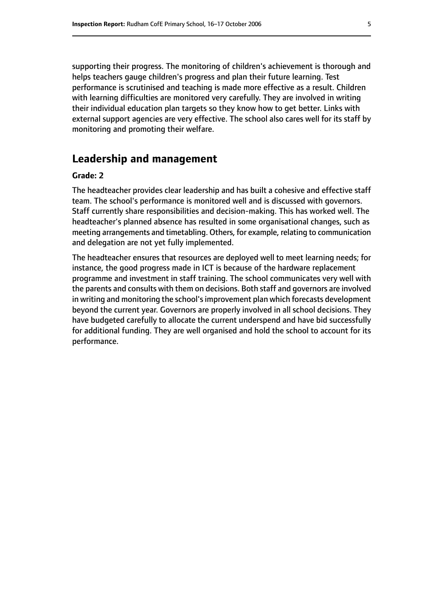supporting their progress. The monitoring of children's achievement is thorough and helps teachers gauge children's progress and plan their future learning. Test performance is scrutinised and teaching is made more effective as a result. Children with learning difficulties are monitored very carefully. They are involved in writing their individual education plan targets so they know how to get better. Links with external support agencies are very effective. The school also cares well for its staff by monitoring and promoting their welfare.

# **Leadership and management**

#### **Grade: 2**

The headteacher provides clear leadership and has built a cohesive and effective staff team. The school's performance is monitored well and is discussed with governors. Staff currently share responsibilities and decision-making. This has worked well. The headteacher's planned absence has resulted in some organisational changes, such as meeting arrangements and timetabling. Others, for example, relating to communication and delegation are not yet fully implemented.

The headteacher ensures that resources are deployed well to meet learning needs; for instance, the good progress made in ICT is because of the hardware replacement programme and investment in staff training. The school communicates very well with the parents and consults with them on decisions. Both staff and governors are involved in writing and monitoring the school's improvement plan which forecasts development beyond the current year. Governors are properly involved in all school decisions. They have budgeted carefully to allocate the current underspend and have bid successfully for additional funding. They are well organised and hold the school to account for its performance.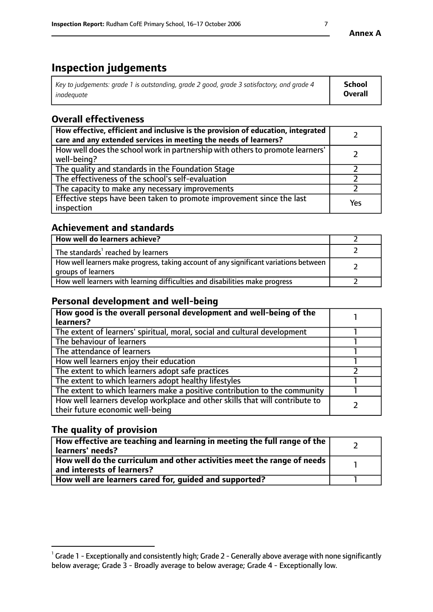# **Inspection judgements**

| Key to judgements: grade 1 is outstanding, grade 2 good, grade 3 satisfactory, and grade 4 | <b>School</b>  |
|--------------------------------------------------------------------------------------------|----------------|
| inadeauate                                                                                 | <b>Overall</b> |

# **Overall effectiveness**

| How effective, efficient and inclusive is the provision of education, integrated<br>care and any extended services in meeting the needs of learners? |     |
|------------------------------------------------------------------------------------------------------------------------------------------------------|-----|
| How well does the school work in partnership with others to promote learners'<br>well-being?                                                         |     |
| The quality and standards in the Foundation Stage                                                                                                    |     |
| The effectiveness of the school's self-evaluation                                                                                                    |     |
| The capacity to make any necessary improvements                                                                                                      |     |
| Effective steps have been taken to promote improvement since the last<br>inspection                                                                  | Yes |

# **Achievement and standards**

| How well do learners achieve?                                                                               |  |
|-------------------------------------------------------------------------------------------------------------|--|
| The standards <sup>1</sup> reached by learners                                                              |  |
| How well learners make progress, taking account of any significant variations between<br>groups of learners |  |
| How well learners with learning difficulties and disabilities make progress                                 |  |

# **Personal development and well-being**

| How good is the overall personal development and well-being of the<br>learners?                                  |  |
|------------------------------------------------------------------------------------------------------------------|--|
|                                                                                                                  |  |
| The extent of learners' spiritual, moral, social and cultural development                                        |  |
| The behaviour of learners                                                                                        |  |
| The attendance of learners                                                                                       |  |
| How well learners enjoy their education                                                                          |  |
| The extent to which learners adopt safe practices                                                                |  |
| The extent to which learners adopt healthy lifestyles                                                            |  |
| The extent to which learners make a positive contribution to the community                                       |  |
| How well learners develop workplace and other skills that will contribute to<br>their future economic well-being |  |

# **The quality of provision**

| How effective are teaching and learning in meeting the full range of the<br>  learners' needs?                      |  |
|---------------------------------------------------------------------------------------------------------------------|--|
| $\mid$ How well do the curriculum and other activities meet the range of needs<br>$\mid$ and interests of learners? |  |
| How well are learners cared for, guided and supported?                                                              |  |

 $^1$  Grade 1 - Exceptionally and consistently high; Grade 2 - Generally above average with none significantly below average; Grade 3 - Broadly average to below average; Grade 4 - Exceptionally low.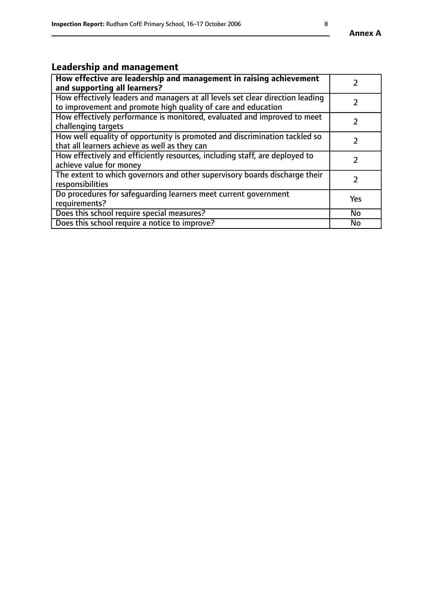# **Leadership and management**

| How effective are leadership and management in raising achievement<br>and supporting all learners?                                              |               |
|-------------------------------------------------------------------------------------------------------------------------------------------------|---------------|
| How effectively leaders and managers at all levels set clear direction leading<br>to improvement and promote high quality of care and education |               |
| How effectively performance is monitored, evaluated and improved to meet<br>challenging targets                                                 | $\mathcal{L}$ |
| How well equality of opportunity is promoted and discrimination tackled so<br>that all learners achieve as well as they can                     |               |
| How effectively and efficiently resources, including staff, are deployed to<br>achieve value for money                                          | $\mathcal{P}$ |
| The extent to which governors and other supervisory boards discharge their<br>responsibilities                                                  |               |
| Do procedures for safequarding learners meet current government<br>requirements?                                                                | Yes           |
| Does this school require special measures?                                                                                                      | No            |
| Does this school require a notice to improve?                                                                                                   | <b>No</b>     |